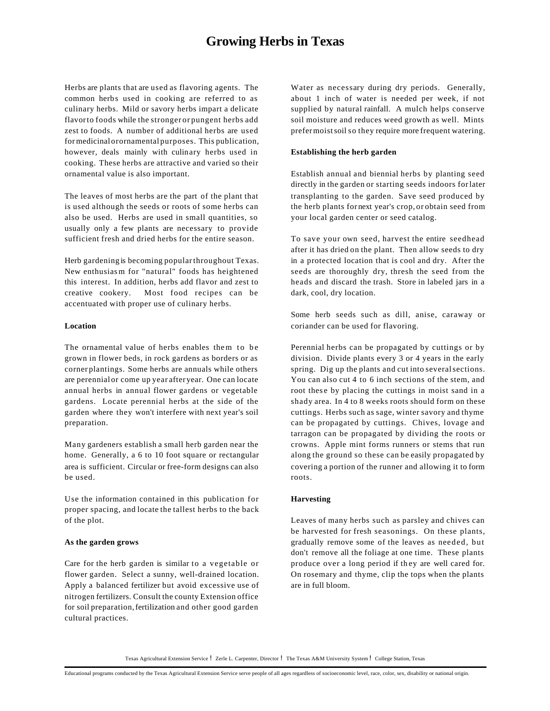# **Growing Herbs in Texas**

Herbs are plants that are used as flavoring agents. The common herbs used in cooking are referred to as culinary herbs. Mild or savory herbs impart a delicate flavorto foods while the stronger or pungent herbs add zest to foods. A number of additional herbs are used formedicinalorornamental purposes. This publication, however, deals mainly with culinary herbs used in cooking. These herbs are attractive and varied so their ornamental value is also important.

The leaves of most herbs are the part of the plant that is used although the seeds or roots of some herbs can also be used. Herbs are used in small quantities, so usually only a few plants are necessary to provide sufficient fresh and dried herbs for the entire season.

Herb gardening is becoming popularthroughout Texas. New enthusiasm for "natural" foods has heightened this interest. In addition, herbs add flavor and zest to creative cookery. Most food recipes can be accentuated with proper use of culinary herbs.

#### **Location**

The ornamental value of herbs enables them to be grown in flower beds, in rock gardens as borders or as corner plantings. Some herbs are annuals while others are perennial or come up year after year. One can locate annual herbs in annual flower gardens or vegetable gardens. Locate perennial herbs at the side of the garden where they won't interfere with next year's soil preparation.

Many gardeners establish a small herb garden near the home. Generally, a 6 to 10 foot square or rectangular area is sufficient. Circular or free-form designs can also be used.

Use the information contained in this publication for proper spacing, and locate the tallest herbs to the back of the plot.

#### **As the garden grows**

Care for the herb garden is similar to a vegetable or flower garden. Select a sunny, well-drained location. Apply a balanced fertilizer but avoid excessive use of nitrogen fertilizers. Consult the county Extension office for soil preparation, fertilization and other good garden cultural practices.

Water as necessary during dry periods. Generally, about 1 inch of water is needed per week, if not supplied by natural rainfall. A mulch helps conserve soil moisture and reduces weed growth as well. Mints prefermoistsoil so they require more frequent watering.

#### **Establishing the herb garden**

Establish annual and biennial herbs by planting seed directly in the garden or starting seeds indoors forlater transplanting to the garden. Save seed produced by the herb plants for next year's crop, or obtain seed from your local garden center or seed catalog.

To save your own seed, harvest the entire seedhead after it has dried on the plant. Then allow seeds to dry in a protected location that is cool and dry. After the seeds are thoroughly dry, thresh the seed from the heads and discard the trash. Store in labeled jars in a dark, cool, dry location.

Some herb seeds such as dill, anise, caraway or coriander can be used for flavoring.

Perennial herbs can be propagated by cuttings or by division. Divide plants every 3 or 4 years in the early spring. Dig up the plants and cut into severalsections. You can also cut 4 to 6 inch sections of the stem, and root these by placing the cuttings in moist sand in a shady area. In 4 to 8 weeks roots should form on these cuttings. Herbs such as sage, winter savory and thyme can be propagated by cuttings. Chives, lovage and tarragon can be propagated by dividing the roots or crowns. Apple mint forms runners or stems that run along the ground so these can be easily propagated by covering a portion of the runner and allowing it to form roots.

#### **Harvesting**

Leaves of many herbs such as parsley and chives can be harvested for fresh seasonings. On these plants, gradually remove some of the leaves as needed, but don't remove all the foliage at one time. These plants produce over a long period if th ey are well cared for. On rosemary and thyme, clip the tops when the plants are in full bloom.

Texas Agricultural Extension Service ! Zerle L. Carpenter, Director ! The Texas A&M University System ! College Station, Texas

Educational programs conducted by the Texas Agricultural Extension Service serve people of all ages regardless of socioeconomic level, race, color, sex, disability or national origin.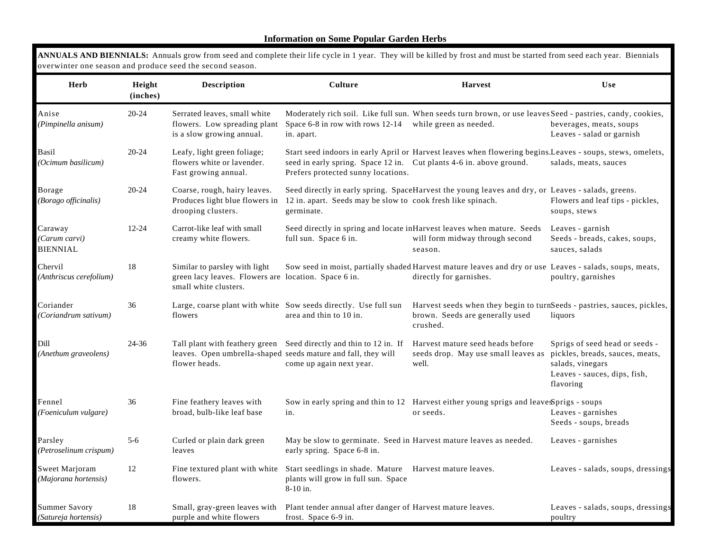# **Information on Some Popular Garden Herbs**

| overwinter one season and produce seed the second season. |                    |                                                                                                                |                                                                                                                                                                 |                                                                                                                                    |                                                                                                                                    |
|-----------------------------------------------------------|--------------------|----------------------------------------------------------------------------------------------------------------|-----------------------------------------------------------------------------------------------------------------------------------------------------------------|------------------------------------------------------------------------------------------------------------------------------------|------------------------------------------------------------------------------------------------------------------------------------|
| Herb                                                      | Height<br>(inches) | <b>Description</b>                                                                                             | Culture                                                                                                                                                         | <b>Harvest</b>                                                                                                                     | <b>Use</b>                                                                                                                         |
| Anise<br>(Pimpinella anisum)                              | $20 - 24$          | Serrated leaves, small white<br>flowers. Low spreading plant<br>is a slow growing annual.                      | Space 6-8 in row with rows 12-14 while green as needed.<br>in. apart.                                                                                           | Moderately rich soil. Like full sun. When seeds turn brown, or use leaves Seed - pastries, candy, cookies,                         | beverages, meats, soups<br>Leaves - salad or garnish                                                                               |
| Basil<br>(Ocimum basilicum)                               | $20 - 24$          | Leafy, light green foliage;<br>flowers white or lavender.<br>Fast growing annual.                              | seed in early spring. Space 12 in. Cut plants 4-6 in. above ground.<br>Prefers protected sunny locations.                                                       | Start seed indoors in early April or Harvest leaves when flowering begins.Leaves - soups, stews, omelets,                          | salads, meats, sauces                                                                                                              |
| Borage<br>(Borago officinalis)                            | $20 - 24$          | Coarse, rough, hairy leaves.<br>Produces light blue flowers in<br>drooping clusters.                           | 12 in. apart. Seeds may be slow to cook fresh like spinach.<br>germinate.                                                                                       | Seed directly in early spring. SpaceHarvest the young leaves and dry, or Leaves - salads, greens.                                  | Flowers and leaf tips - pickles,<br>soups, stews                                                                                   |
| Caraway<br>(Carum carvi)<br><b>BIENNIAL</b>               | 12-24              | Carrot-like leaf with small<br>creamy white flowers.                                                           | full sun. Space 6 in.                                                                                                                                           | Seed directly in spring and locate in Harvest leaves when mature. Seeds<br>will form midway through second<br>season.              | Leaves - garnish<br>Seeds - breads, cakes, soups,<br>sauces, salads                                                                |
| Chervil<br>(Anthriscus cerefolium)                        | 18                 | Similar to parsley with light<br>green lacy leaves. Flowers are location. Space 6 in.<br>small white clusters. |                                                                                                                                                                 | Sow seed in moist, partially shaded Harvest mature leaves and dry or use Leaves - salads, soups, meats,<br>directly for garnishes. | poultry, garnishes                                                                                                                 |
| Coriander<br>(Coriandrum sativum)                         | 36                 | flowers                                                                                                        | Large, coarse plant with white Sow seeds directly. Use full sun<br>area and thin to 10 in.                                                                      | Harvest seeds when they begin to turnSeeds - pastries, sauces, pickles,<br>brown. Seeds are generally used<br>crushed.             | liquors                                                                                                                            |
| Dill<br>(Anethum graveolens)                              | 24-36              | flower heads.                                                                                                  | Tall plant with feathery green Seed directly and thin to 12 in. If<br>leaves. Open umbrella-shaped seeds mature and fall, they will<br>come up again next year. | Harvest mature seed heads before<br>seeds drop. May use small leaves as<br>well.                                                   | Sprigs of seed head or seeds -<br>pickles, breads, sauces, meats,<br>salads, vinegars<br>Leaves - sauces, dips, fish,<br>flavoring |
| Fennel<br>(Foeniculum vulgare)                            | 36                 | Fine feathery leaves with<br>broad, bulb-like leaf base                                                        | in.                                                                                                                                                             | Sow in early spring and thin to 12 Harvest either young sprigs and leave Sprigs - soups<br>or seeds.                               | Leaves - garnishes<br>Seeds - soups, breads                                                                                        |
| Parsley<br>(Petroselinum crispum)                         | $5-6$              | Curled or plain dark green<br>leaves                                                                           | May be slow to germinate. Seed in Harvest mature leaves as needed.<br>early spring. Space 6-8 in.                                                               |                                                                                                                                    | Leaves - garnishes                                                                                                                 |
| Sweet Marjoram<br>(Majorana hortensis)                    | 12                 | flowers.                                                                                                       | Fine textured plant with white Start seedlings in shade. Mature Harvest mature leaves.<br>plants will grow in full sun. Space<br>$8-10$ in.                     |                                                                                                                                    | Leaves - salads, soups, dressings                                                                                                  |
| Summer Savory<br>(Satureja hortensis)                     | 18                 | Small, gray-green leaves with<br>purple and white flowers                                                      | Plant tender annual after danger of Harvest mature leaves.<br>frost. Space 6-9 in.                                                                              |                                                                                                                                    | Leaves - salads, soups, dressings<br>poultry                                                                                       |

**ANNUALS AND BIENNIALS:** Annuals grow from seed and complete their life cycle in 1 year. They will be killed by frost and must be started from seed each year. Biennials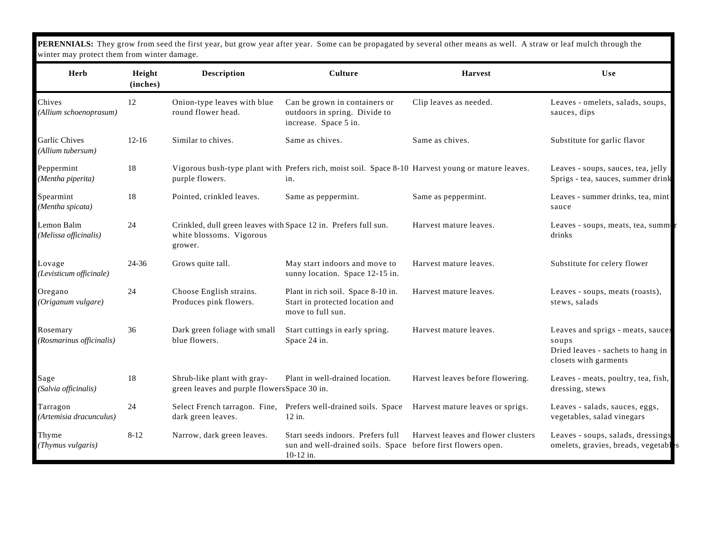**PERENNIALS:** They grow from seed the first year, but grow year after year. Some can be propagated by several other means as well. A straw or leaf mulch through the winter may protect them from winter damage.

| <b>Herb</b>                               | Height<br>(inches) | <b>Description</b>                                                                                     | <b>Culture</b>                                                                                                 | <b>Harvest</b>                     | Use                                                                                                      |
|-------------------------------------------|--------------------|--------------------------------------------------------------------------------------------------------|----------------------------------------------------------------------------------------------------------------|------------------------------------|----------------------------------------------------------------------------------------------------------|
| Chives<br>(Allium schoenoprasum)          | 12                 | Onion-type leaves with blue<br>round flower head.                                                      | Can be grown in containers or<br>outdoors in spring. Divide to<br>increase. Space 5 in.                        | Clip leaves as needed.             | Leaves - omelets, salads, soups,<br>sauces, dips                                                         |
| <b>Garlic Chives</b><br>(Allium tubersum) | $12 - 16$          | Similar to chives.                                                                                     | Same as chives.                                                                                                | Same as chives.                    | Substitute for garlic flavor                                                                             |
| Peppermint<br>(Mentha piperita)           | 18                 | purple flowers.                                                                                        | Vigorous bush-type plant with Prefers rich, moist soil. Space 8-10 Harvest young or mature leaves.<br>in.      |                                    | Leaves - soups, sauces, tea, jelly<br>Sprigs - tea, sauces, summer drink                                 |
| Spearmint<br>(Mentha spicata)             | 18                 | Pointed, crinkled leaves.                                                                              | Same as peppermint.                                                                                            | Same as peppermint.                | Leaves - summer drinks, tea, mint<br>sauce                                                               |
| Lemon Balm<br>(Melissa officinalis)       | 24                 | Crinkled, dull green leaves with Space 12 in. Prefers full sun.<br>white blossoms. Vigorous<br>grower. |                                                                                                                | Harvest mature leaves.             | Leaves - soups, meats, tea, summ<br>drinks                                                               |
| Lovage<br>(Levisticum officinale)         | 24-36              | Grows quite tall.                                                                                      | May start indoors and move to<br>sunny location. Space 12-15 in.                                               | Harvest mature leaves.             | Substitute for celery flower                                                                             |
| Oregano<br>(Origanum vulgare)             | 24                 | Choose English strains.<br>Produces pink flowers.                                                      | Plant in rich soil. Space 8-10 in.<br>Start in protected location and<br>move to full sun.                     | Harvest mature leaves.             | Leaves - soups, meats (roasts),<br>stews, salads                                                         |
| Rosemary<br>(Rosmarinus officinalis)      | 36                 | Dark green foliage with small<br>blue flowers.                                                         | Start cuttings in early spring.<br>Space 24 in.                                                                | Harvest mature leaves.             | Leaves and sprigs - meats, sauces<br>soups<br>Dried leaves - sachets to hang in<br>closets with garments |
| Sage<br>(Salvia officinalis)              | 18                 | Shrub-like plant with gray-<br>green leaves and purple flowersSpace 30 in.                             | Plant in well-drained location.                                                                                | Harvest leaves before flowering.   | Leaves - meats, poultry, tea, fish,<br>dressing, stews                                                   |
| Tarragon<br>(Artemisia dracunculus)       | 24                 | dark green leaves.                                                                                     | Select French tarragon. Fine, Prefers well-drained soils. Space<br>$12$ in.                                    | Harvest mature leaves or sprigs.   | Leaves - salads, sauces, eggs,<br>vegetables, salad vinegars                                             |
| Thyme<br>(Thymus vulgaris)                | $8 - 12$           | Narrow, dark green leaves.                                                                             | Start seeds indoors. Prefers full<br>sun and well-drained soils. Space before first flowers open.<br>10-12 in. | Harvest leaves and flower clusters | Leaves - soups, salads, dressings<br>omelets, gravies, breads, vegetables                                |